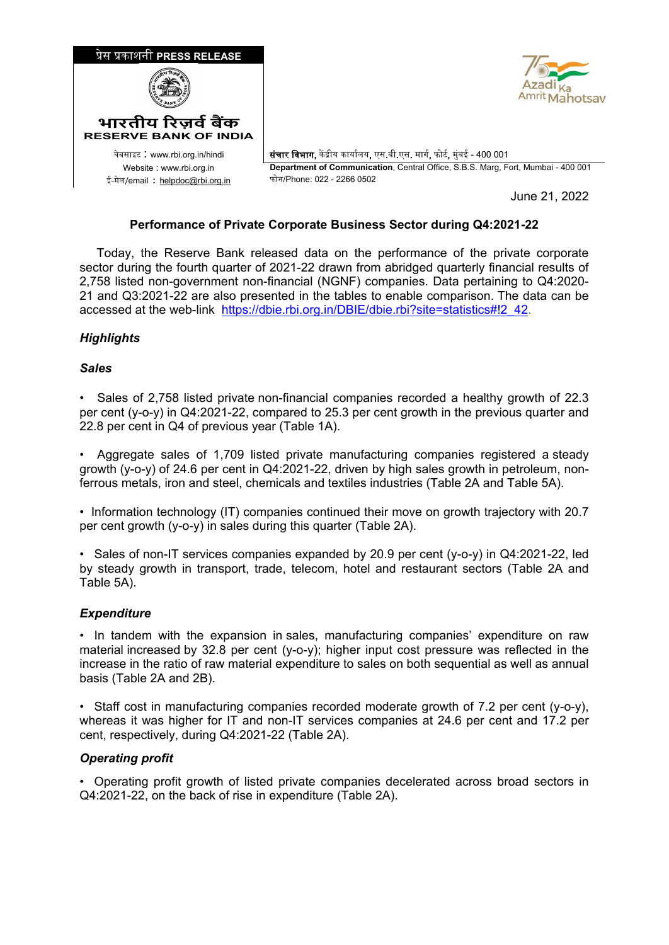

## **Performance of Private Corporate Business Sector during Q4:2021-22**

 Today, the Reserve Bank released data on the performance of the private corporate sector during the fourth quarter of 2021-22 drawn from abridged quarterly financial results of 2,758 listed non-government non-financial (NGNF) companies. Data pertaining to Q4:2020- 21 and Q3:2021-22 are also presented in the tables to enable comparison. The data can be accessed at the web-link [https://dbie.rbi.org.in/DBIE/dbie.rbi?site=statistics#!2\\_42.](https://dbie.rbi.org.in/DBIE/dbie.rbi?site=statistics#!2_42)

# *Highlights*

### *Sales*

• Sales of 2,758 listed private non-financial companies recorded a healthy growth of 22.3 per cent (y-o-y) in Q4:2021-22, compared to 25.3 per cent growth in the previous quarter and 22.8 per cent in Q4 of previous year (Table 1A).

• Aggregate sales of 1,709 listed private manufacturing companies registered a steady growth (y-o-y) of 24.6 per cent in Q4:2021-22, driven by high sales growth in petroleum, nonferrous metals, iron and steel, chemicals and textiles industries (Table 2A and Table 5A).

• Information technology (IT) companies continued their move on growth trajectory with 20.7 per cent growth (y-o-y) in sales during this quarter (Table 2A).

• Sales of non-IT services companies expanded by 20.9 per cent (y-o-y) in Q4:2021-22, led by steady growth in transport, trade, telecom, hotel and restaurant sectors (Table 2A and Table 5A).

## *Expenditure*

• In tandem with the expansion in sales, manufacturing companies' expenditure on raw material increased by 32.8 per cent (y-o-y); higher input cost pressure was reflected in the increase in the ratio of raw material expenditure to sales on both sequential as well as annual basis (Table 2A and 2B).

• Staff cost in manufacturing companies recorded moderate growth of 7.2 per cent (y-o-y), whereas it was higher for IT and non-IT services companies at 24.6 per cent and 17.2 per cent, respectively, during Q4:2021-22 (Table 2A).

## *Operating profit*

• Operating profit growth of listed private companies decelerated across broad sectors in Q4:2021-22, on the back of rise in expenditure (Table 2A).